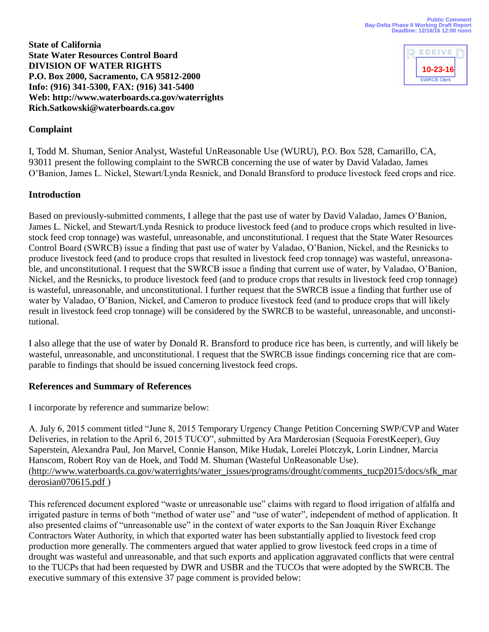

**State of California State Water Resources Control Board DIVISION OF WATER RIGHTS P.O. Box 2000, Sacramento, CA 95812-2000 Info: (916) 341-5300, FAX: (916) 341-5400 Web: http://www.waterboards.ca.gov/waterrights Rich.Satkowski@waterboards.ca.gov** 

## **Complaint**

I, Todd M. Shuman, Senior Analyst, Wasteful UnReasonable Use (WURU), P.O. Box 528, Camarillo, CA, 93011 present the following complaint to the SWRCB concerning the use of water by David Valadao, James O'Banion, James L. Nickel, Stewart/Lynda Resnick, and Donald Bransford to produce livestock feed crops and rice.

#### **Introduction**

Based on previously-submitted comments, I allege that the past use of water by David Valadao, James O'Banion, James L. Nickel, and Stewart/Lynda Resnick to produce livestock feed (and to produce crops which resulted in livestock feed crop tonnage) was wasteful, unreasonable, and unconstitutional. I request that the State Water Resources Control Board (SWRCB) issue a finding that past use of water by Valadao, O'Banion, Nickel, and the Resnicks to produce livestock feed (and to produce crops that resulted in livestock feed crop tonnage) was wasteful, unreasonable, and unconstitutional. I request that the SWRCB issue a finding that current use of water, by Valadao, O'Banion, Nickel, and the Resnicks, to produce livestock feed (and to produce crops that results in livestock feed crop tonnage) is wasteful, unreasonable, and unconstitutional. I further request that the SWRCB issue a finding that further use of water by Valadao, O'Banion, Nickel, and Cameron to produce livestock feed (and to produce crops that will likely result in livestock feed crop tonnage) will be considered by the SWRCB to be wasteful, unreasonable, and unconstitutional.

I also allege that the use of water by Donald R. Bransford to produce rice has been, is currently, and will likely be wasteful, unreasonable, and unconstitutional. I request that the SWRCB issue findings concerning rice that are comparable to findings that should be issued concerning livestock feed crops.

#### **References and Summary of References**

I incorporate by reference and summarize below:

A. July 6, 2015 comment titled "June 8, 2015 Temporary Urgency Change Petition Concerning SWP/CVP and Water Deliveries, in relation to the April 6, 2015 TUCO", submitted by Ara Marderosian (Sequoia ForestKeeper), Guy Saperstein, Alexandra Paul, Jon Marvel, Connie Hanson, Mike Hudak, Lorelei Plotczyk, Lorin Lindner, Marcia Hanscom, Robert Roy van de Hoek, and Todd M. Shuman (Wasteful UnReasonable Use). ([http://www.waterboards.ca.gov/waterrights/water\\_issues/programs/drought/comments\\_tucp2015/docs/sfk\\_mar](http://www.waterboards.ca.gov/waterrights/water_issues/programs/drought/comments_tucp2015/docs/sfk_marderosian070615.pdf) [derosian070615.pdf](http://www.waterboards.ca.gov/waterrights/water_issues/programs/drought/comments_tucp2015/docs/sfk_marderosian070615.pdf) )

This referenced document explored "waste or unreasonable use" claims with regard to flood irrigation of alfalfa and irrigated pasture in terms of both "method of water use" and "use of water", independent of method of application. It also presented claims of "unreasonable use" in the context of water exports to the San Joaquin River Exchange Contractors Water Authority, in which that exported water has been substantially applied to livestock feed crop production more generally. The commenters argued that water applied to grow livestock feed crops in a time of drought was wasteful and unreasonable, and that such exports and application aggravated conflicts that were central to the TUCPs that had been requested by DWR and USBR and the TUCOs that were adopted by the SWRCB. The executive summary of this extensive 37 page comment is provided below: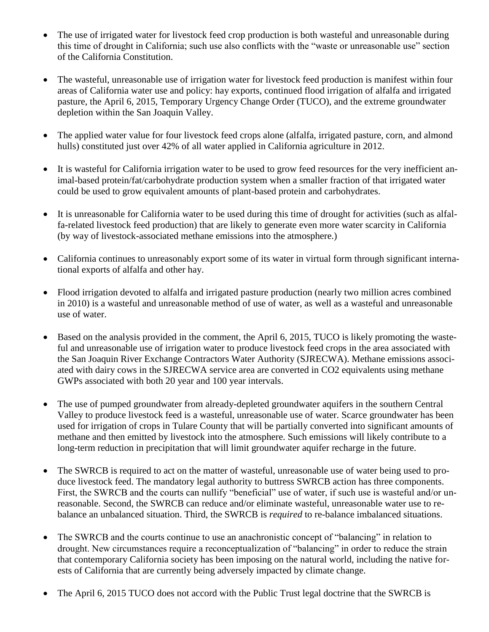- The use of irrigated water for livestock feed crop production is both wasteful and unreasonable during this time of drought in California; such use also conflicts with the "waste or unreasonable use" section of the California Constitution.
- The wasteful, unreasonable use of irrigation water for livestock feed production is manifest within four areas of California water use and policy: hay exports, continued flood irrigation of alfalfa and irrigated pasture, the April 6, 2015, Temporary Urgency Change Order (TUCO), and the extreme groundwater depletion within the San Joaquin Valley.
- The applied water value for four livestock feed crops alone (alfalfa, irrigated pasture, corn, and almond hulls) constituted just over 42% of all water applied in California agriculture in 2012.
- It is wasteful for California irrigation water to be used to grow feed resources for the very inefficient animal-based protein/fat/carbohydrate production system when a smaller fraction of that irrigated water could be used to grow equivalent amounts of plant-based protein and carbohydrates.
- It is unreasonable for California water to be used during this time of drought for activities (such as alfalfa-related livestock feed production) that are likely to generate even more water scarcity in California (by way of livestock-associated methane emissions into the atmosphere.)
- California continues to unreasonably export some of its water in virtual form through significant international exports of alfalfa and other hay.
- Flood irrigation devoted to alfalfa and irrigated pasture production (nearly two million acres combined in 2010) is a wasteful and unreasonable method of use of water, as well as a wasteful and unreasonable use of water.
- Based on the analysis provided in the comment, the April 6, 2015, TUCO is likely promoting the wasteful and unreasonable use of irrigation water to produce livestock feed crops in the area associated with the San Joaquin River Exchange Contractors Water Authority (SJRECWA). Methane emissions associated with dairy cows in the SJRECWA service area are converted in CO2 equivalents using methane GWPs associated with both 20 year and 100 year intervals.
- The use of pumped groundwater from already-depleted groundwater aquifers in the southern Central Valley to produce livestock feed is a wasteful, unreasonable use of water. Scarce groundwater has been used for irrigation of crops in Tulare County that will be partially converted into significant amounts of methane and then emitted by livestock into the atmosphere. Such emissions will likely contribute to a long-term reduction in precipitation that will limit groundwater aquifer recharge in the future.
- The SWRCB is required to act on the matter of wasteful, unreasonable use of water being used to produce livestock feed. The mandatory legal authority to buttress SWRCB action has three components. First, the SWRCB and the courts can nullify "beneficial" use of water, if such use is wasteful and/or unreasonable. Second, the SWRCB can reduce and/or eliminate wasteful, unreasonable water use to rebalance an unbalanced situation. Third, the SWRCB is *required* to re-balance imbalanced situations.
- The SWRCB and the courts continue to use an anachronistic concept of "balancing" in relation to drought. New circumstances require a reconceptualization of "balancing" in order to reduce the strain that contemporary California society has been imposing on the natural world, including the native forests of California that are currently being adversely impacted by climate change.
- The April 6, 2015 TUCO does not accord with the Public Trust legal doctrine that the SWRCB is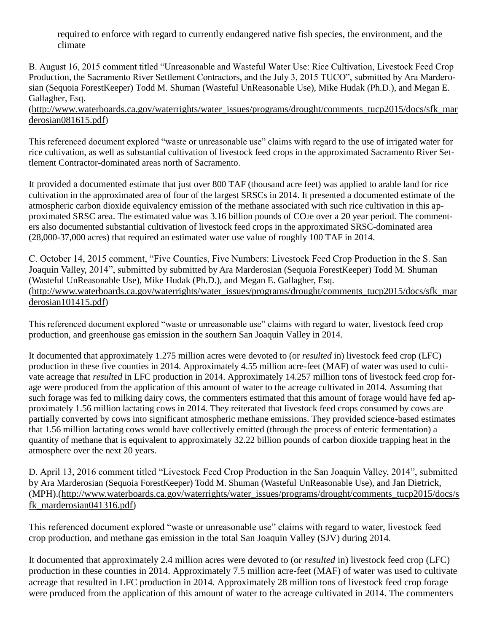required to enforce with regard to currently endangered native fish species, the environment, and the climate

B. August 16, 2015 comment titled "Unreasonable and Wasteful Water Use: Rice Cultivation, Livestock Feed Crop Production, the Sacramento River Settlement Contractors, and the July 3, 2015 TUCO", submitted by Ara Marderosian (Sequoia ForestKeeper) Todd M. Shuman (Wasteful UnReasonable Use), Mike Hudak (Ph.D.), and Megan E. Gallagher, Esq.

([http://www.waterboards.ca.gov/waterrights/water\\_issues/programs/drought/comments\\_tucp2015/docs/sfk\\_mar](http://www.waterboards.ca.gov/waterrights/water_issues/programs/drought/comments_tucp2015/docs/sfk_marderosian081615.pdf) [derosian081615.pdf\)](http://www.waterboards.ca.gov/waterrights/water_issues/programs/drought/comments_tucp2015/docs/sfk_marderosian081615.pdf)

This referenced document explored "waste or unreasonable use" claims with regard to the use of irrigated water for rice cultivation, as well as substantial cultivation of livestock feed crops in the approximated Sacramento River Settlement Contractor-dominated areas north of Sacramento.

It provided a documented estimate that just over 800 TAF (thousand acre feet) was applied to arable land for rice cultivation in the approximated area of four of the largest SRSCs in 2014. It presented a documented estimate of the atmospheric carbon dioxide equivalency emission of the methane associated with such rice cultivation in this approximated SRSC area. The estimated value was 3.16 billion pounds of CO2e over a 20 year period. The commenters also documented substantial cultivation of livestock feed crops in the approximated SRSC-dominated area (28,000-37,000 acres) that required an estimated water use value of roughly 100 TAF in 2014.

C. October 14, 2015 comment, "Five Counties, Five Numbers: Livestock Feed Crop Production in the S. San Joaquin Valley, 2014", submitted by submitted by Ara Marderosian (Sequoia ForestKeeper) Todd M. Shuman (Wasteful UnReasonable Use), Mike Hudak (Ph.D.), and Megan E. Gallagher, Esq. [\(http://www.waterboards.ca.gov/waterrights/water\\_issues/programs/drought/comments\\_tucp2015/docs/sfk\\_mar](http://www.waterboards.ca.gov/waterrights/water_issues/programs/drought/comments_tucp2015/docs/sfk_marderosian101415.pdf) [derosian101415.pdf\)](http://www.waterboards.ca.gov/waterrights/water_issues/programs/drought/comments_tucp2015/docs/sfk_marderosian101415.pdf)

This referenced document explored "waste or unreasonable use" claims with regard to water, livestock feed crop production, and greenhouse gas emission in the southern San Joaquin Valley in 2014.

It documented that approximately 1.275 million acres were devoted to (or *resulted* in) livestock feed crop (LFC) production in these five counties in 2014. Approximately 4.55 million acre-feet (MAF) of water was used to cultivate acreage that *resulted* in LFC production in 2014. Approximately 14.257 million tons of livestock feed crop forage were produced from the application of this amount of water to the acreage cultivated in 2014. Assuming that such forage was fed to milking dairy cows, the commenters estimated that this amount of forage would have fed approximately 1.56 million lactating cows in 2014. They reiterated that livestock feed crops consumed by cows are partially converted by cows into significant atmospheric methane emissions. They provided science-based estimates that 1.56 million lactating cows would have collectively emitted (through the process of enteric fermentation) a quantity of methane that is equivalent to approximately 32.22 billion pounds of carbon dioxide trapping heat in the atmosphere over the next 20 years.

D. April 13, 2016 comment titled "Livestock Feed Crop Production in the San Joaquin Valley, 2014", submitted by Ara Marderosian (Sequoia ForestKeeper) Todd M. Shuman (Wasteful UnReasonable Use), and Jan Dietrick, (MPH).[\(http://www.waterboards.ca.gov/waterrights/water\\_issues/programs/drought/comments\\_tucp2015/docs/s](http://www.waterboards.ca.gov/waterrights/water_issues/programs/drought/comments_tucp2015/docs/sfk_marderosian041316.pdf) fk marderosian041316.pdf)

This referenced document explored "waste or unreasonable use" claims with regard to water, livestock feed crop production, and methane gas emission in the total San Joaquin Valley (SJV) during 2014.

It documented that approximately 2.4 million acres were devoted to (or *resulted* in) livestock feed crop (LFC) production in these counties in 2014. Approximately 7.5 million acre-feet (MAF) of water was used to cultivate acreage that resulted in LFC production in 2014. Approximately 28 million tons of livestock feed crop forage were produced from the application of this amount of water to the acreage cultivated in 2014. The commenters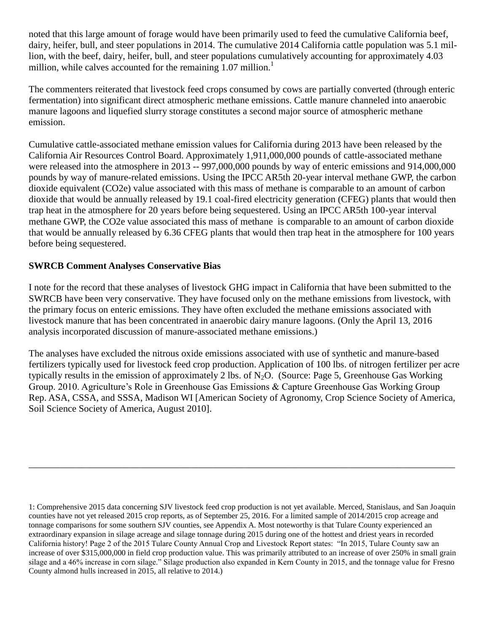noted that this large amount of forage would have been primarily used to feed the cumulative California beef, dairy, heifer, bull, and steer populations in 2014. The cumulative 2014 California cattle population was 5.1 million, with the beef, dairy, heifer, bull, and steer populations cumulatively accounting for approximately 4.03 million, while calves accounted for the remaining  $1.07$  million.<sup>1</sup>

The commenters reiterated that livestock feed crops consumed by cows are partially converted (through enteric fermentation) into significant direct atmospheric methane emissions. Cattle manure channeled into anaerobic manure lagoons and liquefied slurry storage constitutes a second major source of atmospheric methane emission.

Cumulative cattle-associated methane emission values for California during 2013 have been released by the California Air Resources Control Board. Approximately 1,911,000,000 pounds of cattle-associated methane were released into the atmosphere in 2013 -- 997,000,000 pounds by way of enteric emissions and 914,000,000 pounds by way of manure-related emissions. Using the IPCC AR5th 20-year interval methane GWP, the carbon dioxide equivalent (CO2e) value associated with this mass of methane is comparable to an amount of carbon dioxide that would be annually released by 19.1 coal-fired electricity generation (CFEG) plants that would then trap heat in the atmosphere for 20 years before being sequestered. Using an IPCC AR5th 100-year interval methane GWP, the CO2e value associated this mass of methane is comparable to an amount of carbon dioxide that would be annually released by 6.36 CFEG plants that would then trap heat in the atmosphere for 100 years before being sequestered.

# **SWRCB Comment Analyses Conservative Bias**

I note for the record that these analyses of livestock GHG impact in California that have been submitted to the SWRCB have been very conservative. They have focused only on the methane emissions from livestock, with the primary focus on enteric emissions. They have often excluded the methane emissions associated with livestock manure that has been concentrated in anaerobic dairy manure lagoons. (Only the April 13, 2016 analysis incorporated discussion of manure-associated methane emissions.)

The analyses have excluded the nitrous oxide emissions associated with use of synthetic and manure-based fertilizers typically used for livestock feed crop production. Application of 100 lbs. of nitrogen fertilizer per acre typically results in the emission of approximately 2 lbs. of N<sub>2</sub>O. (Source: Page 5, Greenhouse Gas Working Group. 2010. Agriculture's Role in Greenhouse Gas Emissions & Capture Greenhouse Gas Working Group Rep. ASA, CSSA, and SSSA, Madison WI [American Society of Agronomy, Crop Science Society of America, Soil Science Society of America, August 2010].

\_\_\_\_\_\_\_\_\_\_\_\_\_\_\_\_\_\_\_\_\_\_\_\_\_\_\_\_\_\_\_\_\_\_\_\_\_\_\_\_\_\_\_\_\_\_\_\_\_\_\_\_\_\_\_\_\_\_\_\_\_\_\_\_\_\_\_\_\_\_\_\_\_\_\_\_\_\_\_\_\_\_\_\_\_\_\_\_\_

<sup>1:</sup> Comprehensive 2015 data concerning SJV livestock feed crop production is not yet available. Merced, Stanislaus, and San Joaquin counties have not yet released 2015 crop reports, as of September 25, 2016. For a limited sample of 2014/2015 crop acreage and tonnage comparisons for some southern SJV counties, see Appendix A. Most noteworthy is that Tulare County experienced an extraordinary expansion in silage acreage and silage tonnage during 2015 during one of the hottest and driest years in recorded California history! Page 2 of the 2015 Tulare County Annual Crop and Livestock Report states: "In 2015, Tulare County saw an increase of over \$315,000,000 in field crop production value. This was primarily attributed to an increase of over 250% in small grain silage and a 46% increase in corn silage." Silage production also expanded in Kern County in 2015, and the tonnage value for Fresno County almond hulls increased in 2015, all relative to 2014.)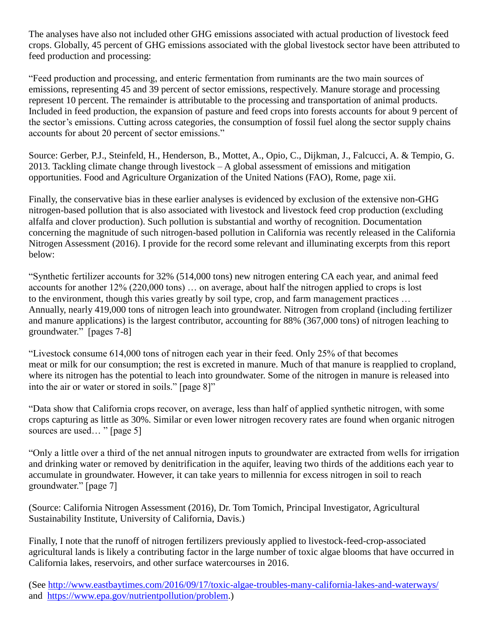The analyses have also not included other GHG emissions associated with actual production of livestock feed crops. Globally, 45 percent of GHG emissions associated with the global livestock sector have been attributed to feed production and processing:

"Feed production and processing, and enteric fermentation from ruminants are the two main sources of emissions, representing 45 and 39 percent of sector emissions, respectively. Manure storage and processing represent 10 percent. The remainder is attributable to the processing and transportation of animal products. Included in feed production, the expansion of pasture and feed crops into forests accounts for about 9 percent of the sector's emissions. Cutting across categories, the consumption of fossil fuel along the sector supply chains accounts for about 20 percent of sector emissions."

Source: Gerber, P.J., Steinfeld, H., Henderson, B., Mottet, A., Opio, C., Dijkman, J., Falcucci, A. & Tempio, G. 2013. Tackling climate change through livestock – A global assessment of emissions and mitigation opportunities. Food and Agriculture Organization of the United Nations (FAO), Rome, page xii.

Finally, the conservative bias in these earlier analyses is evidenced by exclusion of the extensive non-GHG nitrogen-based pollution that is also associated with livestock and livestock feed crop production (excluding alfalfa and clover production). Such pollution is substantial and worthy of recognition. Documentation concerning the magnitude of such nitrogen-based pollution in California was recently released in the California Nitrogen Assessment (2016). I provide for the record some relevant and illuminating excerpts from this report below:

"Synthetic fertilizer accounts for 32% (514,000 tons) new nitrogen entering CA each year, and animal feed accounts for another 12% (220,000 tons) … on average, about half the nitrogen applied to crops is lost to the environment, though this varies greatly by soil type, crop, and farm management practices … Annually, nearly 419,000 tons of nitrogen leach into groundwater. Nitrogen from cropland (including fertilizer and manure applications) is the largest contributor, accounting for 88% (367,000 tons) of nitrogen leaching to groundwater." [pages 7-8]

"Livestock consume 614,000 tons of nitrogen each year in their feed. Only 25% of that becomes meat or milk for our consumption; the rest is excreted in manure. Much of that manure is reapplied to cropland, where its nitrogen has the potential to leach into groundwater. Some of the nitrogen in manure is released into into the air or water or stored in soils." [page 8]"

"Data show that California crops recover, on average, less than half of applied synthetic nitrogen, with some crops capturing as little as 30%. Similar or even lower nitrogen recovery rates are found when organic nitrogen sources are used... " [page 5]

"Only a little over a third of the net annual nitrogen inputs to groundwater are extracted from wells for irrigation and drinking water or removed by denitrification in the aquifer, leaving two thirds of the additions each year to accumulate in groundwater. However, it can take years to millennia for excess nitrogen in soil to reach groundwater." [page 7]

(Source: California Nitrogen Assessment (2016), Dr. Tom Tomich, Principal Investigator, Agricultural Sustainability Institute, University of California, Davis.)

Finally, I note that the runoff of nitrogen fertilizers previously applied to livestock-feed-crop-associated agricultural lands is likely a contributing factor in the large number of toxic algae blooms that have occurred in California lakes, reservoirs, and other surface watercourses in 2016.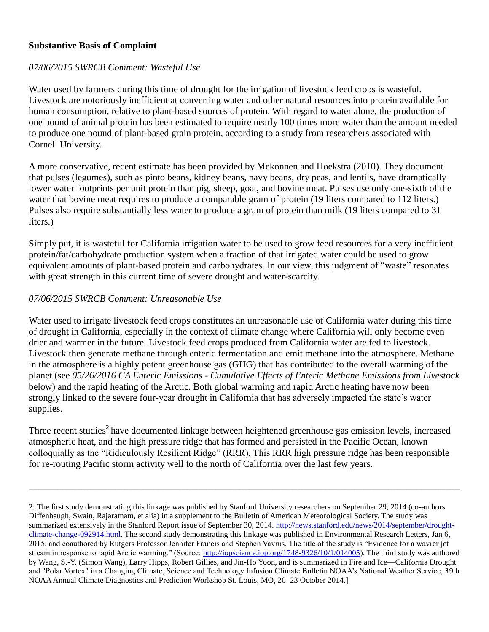### **Substantive Basis of Complaint**

### *07/06/2015 SWRCB Comment: Wasteful Use*

Water used by farmers during this time of drought for the irrigation of livestock feed crops is wasteful. Livestock are notoriously inefficient at converting water and other natural resources into protein available for human consumption, relative to plant-based sources of protein. With regard to water alone, the production of one pound of animal protein has been estimated to require nearly 100 times more water than the amount needed to produce one pound of plant-based grain protein, according to a study from researchers associated with Cornell University.

A more conservative, recent estimate has been provided by Mekonnen and Hoekstra (2010). They document that pulses (legumes), such as pinto beans, kidney beans, navy beans, dry peas, and lentils, have dramatically lower water footprints per unit protein than pig, sheep, goat, and bovine meat. Pulses use only one-sixth of the water that bovine meat requires to produce a comparable gram of protein (19 liters compared to 112 liters.) Pulses also require substantially less water to produce a gram of protein than milk (19 liters compared to 31 liters.)

Simply put, it is wasteful for California irrigation water to be used to grow feed resources for a very inefficient protein/fat/carbohydrate production system when a fraction of that irrigated water could be used to grow equivalent amounts of plant-based protein and carbohydrates. In our view, this judgment of "waste" resonates with great strength in this current time of severe drought and water-scarcity.

### *07/06/2015 SWRCB Comment: Unreasonable Use*

Water used to irrigate livestock feed crops constitutes an unreasonable use of California water during this time of drought in California, especially in the context of climate change where California will only become even drier and warmer in the future. Livestock feed crops produced from California water are fed to livestock. Livestock then generate methane through enteric fermentation and emit methane into the atmosphere. Methane in the atmosphere is a highly potent greenhouse gas (GHG) that has contributed to the overall warming of the planet (see *05/26/2016 CA Enteric Emissions - Cumulative Effects of Enteric Methane Emissions from Livestock*  below) and the rapid heating of the Arctic. Both global warming and rapid Arctic heating have now been strongly linked to the severe four-year drought in California that has adversely impacted the state's water supplies.

Three recent studies<sup>2</sup> have documented linkage between heightened greenhouse gas emission levels, increased atmospheric heat, and the high pressure ridge that has formed and persisted in the Pacific Ocean, known colloquially as the "Ridiculously Resilient Ridge" (RRR). This RRR high pressure ridge has been responsible for re-routing Pacific storm activity well to the north of California over the last few years.

\_\_\_\_\_\_\_\_\_\_\_\_\_\_\_\_\_\_\_\_\_\_\_\_\_\_\_\_\_\_\_\_\_\_\_\_\_\_\_\_\_\_\_\_\_\_\_\_\_\_\_\_\_\_\_\_\_\_\_\_\_\_\_\_\_\_\_\_\_\_\_\_\_\_\_\_\_\_\_\_\_\_\_\_\_\_\_\_\_\_

<sup>2:</sup> The first study demonstrating this linkage was published by Stanford University researchers on September 29, 2014 (co-authors Diffenbaugh, Swain, Rajaratnam, et alia) in a supplement to the Bulletin of American Meteorological Society. The study was summarized extensively in the Stanford Report issue of September 30, 2014[. http://news.stanford.edu/news/2014/september/drought](http://news.stanford.edu/news/2014/september/drought-climate-change-092914.html)[climate-change-092914.html.](http://news.stanford.edu/news/2014/september/drought-climate-change-092914.html) The second study demonstrating this linkage was published in Environmental Research Letters, Jan 6, 2015, and coauthored by Rutgers Professor Jennifer Francis and Stephen Vavrus. The title of the study is "Evidence for a wavier jet stream in response to rapid Arctic warming." (Source: [http://iopscience.iop.org/1748-9326/10/1/014005\)](http://iopscience.iop.org/1748-9326/10/1/014005). The third study was authored by Wang, S.-Y. (Simon Wang), Larry Hipps, Robert Gillies, and Jin-Ho Yoon, and is summarized in Fire and Ice—California Drought and "Polar Vortex" in a Changing Climate, Science and Technology Infusion Climate Bulletin NOAA's National Weather Service, 39th NOAA Annual Climate Diagnostics and Prediction Workshop St. Louis, MO, 20–23 October 2014.]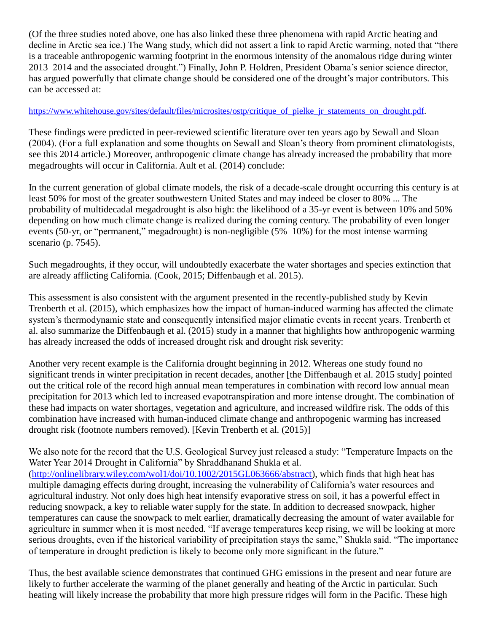(Of the three studies noted above, one has also linked these three phenomena with rapid Arctic heating and decline in Arctic sea ice.) The Wang study, which did not assert a link to rapid Arctic warming, noted that "there is a traceable anthropogenic warming footprint in the enormous intensity of the anomalous ridge during winter 2013–2014 and the associated drought.") Finally, John P. Holdren, President Obama's senior science director, has argued powerfully that climate change should be considered one of the drought's major contributors. This can be accessed at:

#### https://www.whitehouse.gov/sites/default/files/microsites/ostp/critique of pielke ir statements on drought.pdf.

These findings were predicted in peer-reviewed scientific literature over ten years ago by Sewall and Sloan (2004). (For a full explanation and some thoughts on Sewall and Sloan's theory from prominent climatologists, see this 2014 article.) Moreover, anthropogenic climate change has already increased the probability that more megadroughts will occur in California. Ault et al. (2014) conclude:

In the current generation of global climate models, the risk of a decade-scale drought occurring this century is at least 50% for most of the greater southwestern United States and may indeed be closer to 80% ... The probability of multidecadal megadrought is also high: the likelihood of a 35-yr event is between 10% and 50% depending on how much climate change is realized during the coming century. The probability of even longer events (50-yr, or "permanent," megadrought) is non-negligible (5%–10%) for the most intense warming scenario (p. 7545).

Such megadroughts, if they occur, will undoubtedly exacerbate the water shortages and species extinction that are already afflicting California. (Cook, 2015; Diffenbaugh et al. 2015).

This assessment is also consistent with the argument presented in the recently-published study by Kevin Trenberth et al. (2015), which emphasizes how the impact of human-induced warming has affected the climate system's thermodynamic state and consequently intensified major climatic events in recent years. Trenberth et al. also summarize the Diffenbaugh et al. (2015) study in a manner that highlights how anthropogenic warming has already increased the odds of increased drought risk and drought risk severity:

Another very recent example is the California drought beginning in 2012. Whereas one study found no significant trends in winter precipitation in recent decades, another [the Diffenbaugh et al. 2015 study] pointed out the critical role of the record high annual mean temperatures in combination with record low annual mean precipitation for 2013 which led to increased evapotranspiration and more intense drought. The combination of these had impacts on water shortages, vegetation and agriculture, and increased wildfire risk. The odds of this combination have increased with human-induced climate change and anthropogenic warming has increased drought risk (footnote numbers removed). [Kevin Trenberth et al. (2015)]

We also note for the record that the U.S. Geological Survey just released a study: "Temperature Impacts on the Water Year 2014 Drought in California" by Shraddhanand Shukla et al. [\(http://onlinelibrary.wiley.com/wol1/doi/10.1002/2015GL063666/abstract\)](http://onlinelibrary.wiley.com/wol1/doi/10.1002/2015GL063666/abstract), which finds that high heat has multiple damaging effects during drought, increasing the vulnerability of California's water resources and agricultural industry. Not only does high heat intensify evaporative stress on soil, it has a powerful effect in reducing snowpack, a key to reliable water supply for the state. In addition to decreased snowpack, higher temperatures can cause the snowpack to melt earlier, dramatically decreasing the amount of water available for agriculture in summer when it is most needed. "If average temperatures keep rising, we will be looking at more serious droughts, even if the historical variability of precipitation stays the same," Shukla said. "The importance of temperature in drought prediction is likely to become only more significant in the future."

Thus, the best available science demonstrates that continued GHG emissions in the present and near future are likely to further accelerate the warming of the planet generally and heating of the Arctic in particular. Such heating will likely increase the probability that more high pressure ridges will form in the Pacific. These high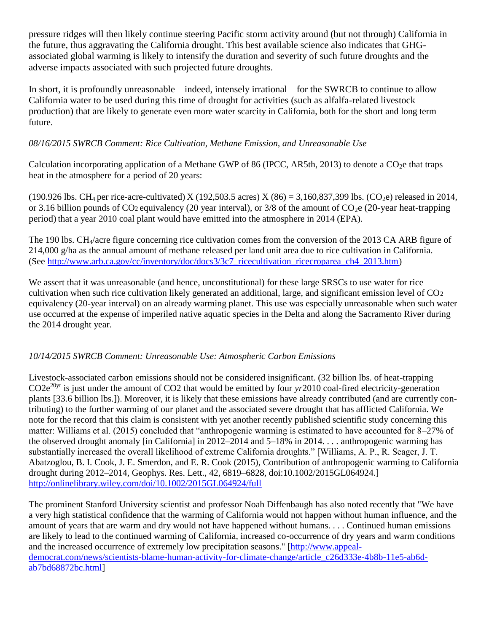pressure ridges will then likely continue steering Pacific storm activity around (but not through) California in the future, thus aggravating the California drought. This best available science also indicates that GHGassociated global warming is likely to intensify the duration and severity of such future droughts and the adverse impacts associated with such projected future droughts.

In short, it is profoundly unreasonable—indeed, intensely irrational—for the SWRCB to continue to allow California water to be used during this time of drought for activities (such as alfalfa-related livestock production) that are likely to generate even more water scarcity in California, both for the short and long term future.

# *08/16/2015 SWRCB Comment: Rice Cultivation, Methane Emission, and Unreasonable Use*

Calculation incorporating application of a Methane GWP of 86 (IPCC, AR5th, 2013) to denote a  $CO<sub>2</sub>e$  that traps heat in the atmosphere for a period of 20 years:

(190.926 lbs. CH<sub>4</sub> per rice-acre-cultivated) X (192,503.5 acres) X (86) = 3,160,837,399 lbs. (CO<sub>2</sub>e) released in 2014, or 3.16 billion pounds of CO<sub>2</sub> equivalency (20 year interval), or  $3/8$  of the amount of CO<sub>2</sub>e (20-year heat-trapping period) that a year 2010 coal plant would have emitted into the atmosphere in 2014 (EPA).

The 190 lbs. CH4/acre figure concerning rice cultivation comes from the conversion of the 2013 CA ARB figure of 214,000 g/ha as the annual amount of methane released per land unit area due to rice cultivation in California. (See [http://www.arb.ca.gov/cc/inventory/doc/docs3/3c7\\_ricecultivation\\_ricecroparea\\_ch4\\_2013.htm\)](http://www.arb.ca.gov/cc/inventory/doc/docs3/3c7_ricecultivation_ricecroparea_ch4_2013.htm)

We assert that it was unreasonable (and hence, unconstitutional) for these large SRSCs to use water for rice cultivation when such rice cultivation likely generated an additional, large, and significant emission level of  $CO<sub>2</sub>$ equivalency (20-year interval) on an already warming planet. This use was especially unreasonable when such water use occurred at the expense of imperiled native aquatic species in the Delta and along the Sacramento River during the 2014 drought year.

# *10/14/2015 SWRCB Comment: Unreasonable Use: Atmospheric Carbon Emissions*

Livestock-associated carbon emissions should not be considered insignificant. (32 billion lbs. of heat-trapping CO2e20yr is just under the amount of CO2 that would be emitted by four *yr*2010 coal-fired electricity-generation plants [33.6 billion lbs.]). Moreover, it is likely that these emissions have already contributed (and are currently contributing) to the further warming of our planet and the associated severe drought that has afflicted California. We note for the record that this claim is consistent with yet another recently published scientific study concerning this matter: Williams et al. (2015) concluded that "anthropogenic warming is estimated to have accounted for 8–27% of the observed drought anomaly [in California] in 2012–2014 and 5–18% in 2014. . . . anthropogenic warming has substantially increased the overall likelihood of extreme California droughts." [Williams, A. P., R. Seager, J. T. Abatzoglou, B. I. Cook, J. E. Smerdon, and E. R. Cook (2015), Contribution of anthropogenic warming to California drought during 2012–2014, Geophys. Res. Lett., 42, 6819–6828, doi:10.1002/2015GL064924.] <http://onlinelibrary.wiley.com/doi/10.1002/2015GL064924/full>

The prominent Stanford University scientist and professor Noah Diffenbaugh has also noted recently that "We have a very high statistical confidence that the warming of California would not happen without human influence, and the amount of years that are warm and dry would not have happened without humans. . . . Continued human emissions are likely to lead to the continued warming of California, increased co-occurrence of dry years and warm conditions and the increased occurrence of extremely low precipitation seasons." [\[http://www.appeal](http://www.appeal-democrat.com/news/scientists-blame-human-activity-for-climate-change/article_c26d333e-4b8b-11e5-ab6d-ab7bd68872bc.html)[democrat.com/news/scientists-blame-human-activity-for-climate-change/article\\_c26d333e-4b8b-11e5-ab6d](http://www.appeal-democrat.com/news/scientists-blame-human-activity-for-climate-change/article_c26d333e-4b8b-11e5-ab6d-ab7bd68872bc.html)[ab7bd68872bc.html\]](http://www.appeal-democrat.com/news/scientists-blame-human-activity-for-climate-change/article_c26d333e-4b8b-11e5-ab6d-ab7bd68872bc.html)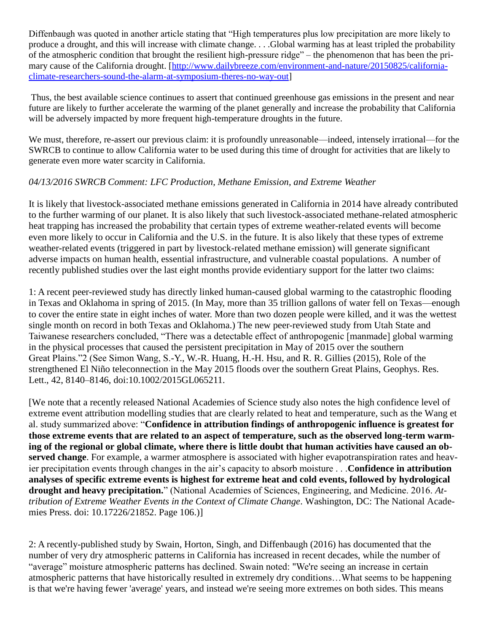Diffenbaugh was quoted in another article stating that "High temperatures plus low precipitation are more likely to produce a drought, and this will increase with climate change. . . .Global warming has at least tripled the probability of the atmospheric condition that brought the resilient high-pressure ridge" – the phenomenon that has been the primary cause of the California drought. [\[http://www.dailybreeze.com/environment-and-nature/20150825/california](http://www.dailybreeze.com/environment-and-nature/20150825/california-climate-researchers-sound-the-alarm-at-symposium-theres-no-way-out)[climate-researchers-sound-the-alarm-at-symposium-theres-no-way-out\]](http://www.dailybreeze.com/environment-and-nature/20150825/california-climate-researchers-sound-the-alarm-at-symposium-theres-no-way-out)

Thus, the best available science continues to assert that continued greenhouse gas emissions in the present and near future are likely to further accelerate the warming of the planet generally and increase the probability that California will be adversely impacted by more frequent high-temperature droughts in the future.

We must, therefore, re-assert our previous claim: it is profoundly unreasonable—indeed, intensely irrational—for the SWRCB to continue to allow California water to be used during this time of drought for activities that are likely to generate even more water scarcity in California.

# *04/13/2016 SWRCB Comment: LFC Production, Methane Emission, and Extreme Weather*

It is likely that livestock-associated methane emissions generated in California in 2014 have already contributed to the further warming of our planet. It is also likely that such livestock-associated methane-related atmospheric heat trapping has increased the probability that certain types of extreme weather-related events will become even more likely to occur in California and the U.S. in the future. It is also likely that these types of extreme weather-related events (triggered in part by livestock-related methane emission) will generate significant adverse impacts on human health, essential infrastructure, and vulnerable coastal populations. A number of recently published studies over the last eight months provide evidentiary support for the latter two claims:

1: A recent peer-reviewed study has directly linked human-caused global warming to the catastrophic flooding in Texas and Oklahoma in spring of 2015. (In May, more than 35 trillion gallons of water fell on Texas—enough to cover the entire state in eight inches of water. More than two dozen people were killed, and it was the wettest single month on record in both Texas and Oklahoma.) The new peer-reviewed study from Utah State and Taiwanese researchers concluded, "There was a detectable effect of anthropogenic [manmade] global warming in the physical processes that caused the persistent precipitation in May of 2015 over the southern Great Plains."2 (See Simon Wang, S.-Y., W.-R. Huang, H.-H. Hsu, and R. R. Gillies (2015), Role of the strengthened El Niño teleconnection in the May 2015 floods over the southern Great Plains, Geophys. Res. Lett., 42, 8140–8146, doi:10.1002/2015GL065211.

[We note that a recently released National Academies of Science study also notes the high confidence level of extreme event attribution modelling studies that are clearly related to heat and temperature, such as the Wang et al. study summarized above: "**Confidence in attribution findings of anthropogenic influence is greatest for those extreme events that are related to an aspect of temperature, such as the observed long-term warming of the regional or global climate, where there is little doubt that human activities have caused an observed change**. For example, a warmer atmosphere is associated with higher evapotranspiration rates and heavier precipitation events through changes in the air's capacity to absorb moisture . . .**Confidence in attribution analyses of specific extreme events is highest for extreme heat and cold events, followed by hydrological drought and heavy precipitation.**" (National Academies of Sciences, Engineering, and Medicine. 2016. *Attribution of Extreme Weather Events in the Context of Climate Change*. Washington, DC: The National Academies Press. doi: 10.17226/21852. Page 106.)]

2: A recently-published study by Swain, Horton, Singh, and Diffenbaugh (2016) has documented that the number of very dry atmospheric patterns in California has increased in recent decades, while the number of "average" moisture atmospheric patterns has declined. Swain noted: "We're seeing an increase in certain atmospheric patterns that have historically resulted in extremely dry conditions…What seems to be happening is that we're having fewer 'average' years, and instead we're seeing more extremes on both sides. This means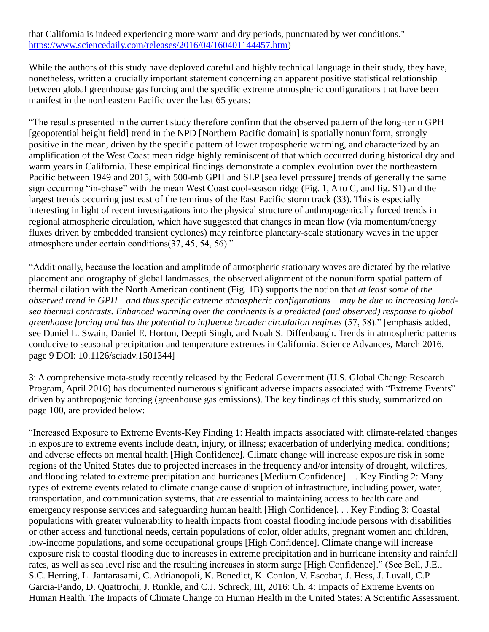## that California is indeed experiencing more warm and dry periods, punctuated by wet conditions." [https://www.sciencedaily.com/releases/2016/04/160401144457.htm\)](https://www.sciencedaily.com/releases/2016/04/160401144457.htm)

While the authors of this study have deployed careful and highly technical language in their study, they have, nonetheless, written a crucially important statement concerning an apparent positive statistical relationship between global greenhouse gas forcing and the specific extreme atmospheric configurations that have been manifest in the northeastern Pacific over the last 65 years:

"The results presented in the current study therefore confirm that the observed pattern of the long-term GPH [geopotential height field] trend in the NPD [Northern Pacific domain] is spatially nonuniform, strongly positive in the mean, driven by the specific pattern of lower tropospheric warming, and characterized by an amplification of the West Coast mean ridge highly reminiscent of that which occurred during historical dry and warm years in California. These empirical findings demonstrate a complex evolution over the northeastern Pacific between 1949 and 2015, with 500-mb GPH and SLP [sea level pressure] trends of generally the same sign occurring "in-phase" with the mean West Coast cool-season ridge (Fig. 1, A to C, and fig. S1) and the largest trends occurring just east of the terminus of the East Pacific storm track (33). This is especially interesting in light of recent investigations into the physical structure of anthropogenically forced trends in regional atmospheric circulation, which have suggested that changes in mean flow (via momentum/energy fluxes driven by embedded transient cyclones) may reinforce planetary-scale stationary waves in the upper atmosphere under certain conditions(37, 45, 54, 56)."

"Additionally, because the location and amplitude of atmospheric stationary waves are dictated by the relative placement and orography of global landmasses, the observed alignment of the nonuniform spatial pattern of thermal dilation with the North American continent (Fig. 1B) supports the notion that *at least some of the observed trend in GPH—and thus specific extreme atmospheric configurations—may be due to increasing landsea thermal contrasts. Enhanced warming over the continents is a predicted (and observed) response to global greenhouse forcing and has the potential to influence broader circulation regimes* (57, 58)." [emphasis added, see Daniel L. Swain, Daniel E. Horton, Deepti Singh, and Noah S. Diffenbaugh. Trends in atmospheric patterns conducive to seasonal precipitation and temperature extremes in California. Science Advances, March 2016, page 9 DOI: 10.1126/sciadv.1501344]

3: A comprehensive meta-study recently released by the Federal Government (U.S. Global Change Research Program, April 2016) has documented numerous significant adverse impacts associated with "Extreme Events" driven by anthropogenic forcing (greenhouse gas emissions). The key findings of this study, summarized on page 100, are provided below:

"Increased Exposure to Extreme Events-Key Finding 1: Health impacts associated with climate-related changes in exposure to extreme events include death, injury, or illness; exacerbation of underlying medical conditions; and adverse effects on mental health [High Confidence]. Climate change will increase exposure risk in some regions of the United States due to projected increases in the frequency and/or intensity of drought, wildfires, and flooding related to extreme precipitation and hurricanes [Medium Confidence]. . . Key Finding 2: Many types of extreme events related to climate change cause disruption of infrastructure, including power, water, transportation, and communication systems, that are essential to maintaining access to health care and emergency response services and safeguarding human health [High Confidence]. . . Key Finding 3: Coastal populations with greater vulnerability to health impacts from coastal flooding include persons with disabilities or other access and functional needs, certain populations of color, older adults, pregnant women and children, low-income populations, and some occupational groups [High Confidence]. Climate change will increase exposure risk to coastal flooding due to increases in extreme precipitation and in hurricane intensity and rainfall rates, as well as sea level rise and the resulting increases in storm surge [High Confidence]." (See Bell, J.E., S.C. Herring, L. Jantarasami, C. Adrianopoli, K. Benedict, K. Conlon, V. Escobar, J. Hess, J. Luvall, C.P. Garcia-Pando, D. Quattrochi, J. Runkle, and C.J. Schreck, III, 2016: Ch. 4: Impacts of Extreme Events on Human Health. The Impacts of Climate Change on Human Health in the United States: A Scientific Assessment.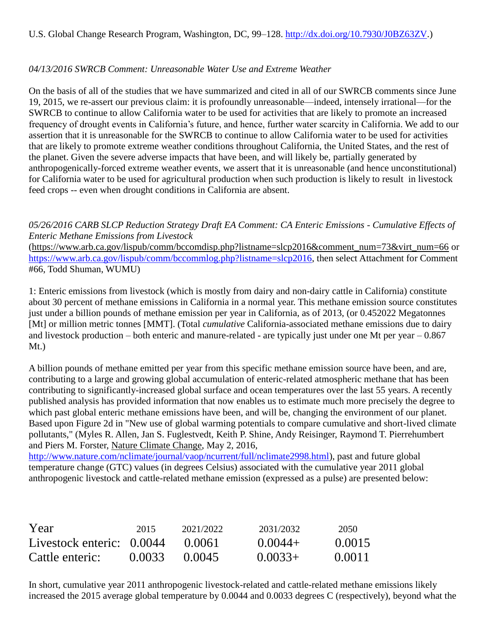# *04/13/2016 SWRCB Comment: Unreasonable Water Use and Extreme Weather*

On the basis of all of the studies that we have summarized and cited in all of our SWRCB comments since June 19, 2015, we re-assert our previous claim: it is profoundly unreasonable—indeed, intensely irrational—for the SWRCB to continue to allow California water to be used for activities that are likely to promote an increased frequency of drought events in California's future, and hence, further water scarcity in California. We add to our assertion that it is unreasonable for the SWRCB to continue to allow California water to be used for activities that are likely to promote extreme weather conditions throughout California, the United States, and the rest of the planet. Given the severe adverse impacts that have been, and will likely be, partially generated by anthropogenically-forced extreme weather events, we assert that it is unreasonable (and hence unconstitutional) for California water to be used for agricultural production when such production is likely to result in livestock feed crops -- even when drought conditions in California are absent.

## *05/26/2016 CARB SLCP Reduction Strategy Draft EA Comment: CA Enteric Emissions - Cumulative Effects of Enteric Methane Emissions from Livestock*

[\(https://www.arb.ca.gov/lispub/comm/bccomdisp.php?listname=slcp2016&comment\\_num=73&virt\\_num=66](https://www.arb.ca.gov/lispub/comm/bccomdisp.php?listname=slcp2016&comment_num=73&virt_num=66) or [https://www.arb.ca.gov/lispub/comm/bccommlog.php?listname=slcp2016,](https://www.arb.ca.gov/lispub/comm/bccommlog.php?listname=slcp2016) then select Attachment for Comment #66, Todd Shuman, WUMU)

1: Enteric emissions from livestock (which is mostly from dairy and non-dairy cattle in California) constitute about 30 percent of methane emissions in California in a normal year. This methane emission source constitutes just under a billion pounds of methane emission per year in California, as of 2013, (or 0.452022 Megatonnes [Mt] or million metric tonnes [MMT]. (Total *cumulative* California-associated methane emissions due to dairy and livestock production – both enteric and manure-related - are typically just under one Mt per year – 0.867 Mt.)

A billion pounds of methane emitted per year from this specific methane emission source have been, and are, contributing to a large and growing global accumulation of enteric-related atmospheric methane that has been contributing to significantly-increased global surface and ocean temperatures over the last 55 years. A recently published analysis has provided information that now enables us to estimate much more precisely the degree to which past global enteric methane emissions have been, and will be, changing the environment of our planet. Based upon Figure 2d in "New use of global warming potentials to compare cumulative and short-lived climate pollutants," (Myles R. Allen, Jan S. Fuglestvedt, Keith P. Shine, Andy Reisinger, Raymond T. Pierrehumbert and Piers M. Forster, Nature Climate Change, May 2, 2016,

[http://www.nature.com/nclimate/journal/vaop/ncurrent/full/nclimate2998.html\)](http://www.nature.com/nclimate/journal/vaop/ncurrent/full/nclimate2998.html), past and future global temperature change (GTC) values (in degrees Celsius) associated with the cumulative year 2011 global anthropogenic livestock and cattle-related methane emission (expressed as a pulse) are presented below:

| Year                        | 2015   | 2021/2022 | 2031/2032 | 2050   |
|-----------------------------|--------|-----------|-----------|--------|
| Livestock enteric: $0.0044$ |        | 0.0061    | $0.0044+$ | 0.0015 |
| Cattle enteric:             | 0.0033 | (1.0045)  | $0.0033+$ | 0.0011 |

In short, cumulative year 2011 anthropogenic livestock-related and cattle-related methane emissions likely increased the 2015 average global temperature by 0.0044 and 0.0033 degrees C (respectively), beyond what the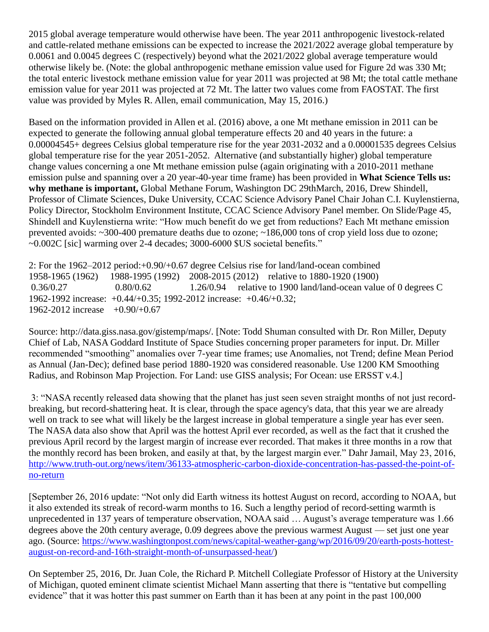2015 global average temperature would otherwise have been. The year 2011 anthropogenic livestock-related and cattle-related methane emissions can be expected to increase the 2021/2022 average global temperature by 0.0061 and 0.0045 degrees C (respectively) beyond what the 2021/2022 global average temperature would otherwise likely be. (Note: the global anthropogenic methane emission value used for Figure 2d was 330 Mt; the total enteric livestock methane emission value for year 2011 was projected at 98 Mt; the total cattle methane emission value for year 2011 was projected at 72 Mt. The latter two values come from FAOSTAT. The first value was provided by Myles R. Allen, email communication, May 15, 2016.)

Based on the information provided in Allen et al. (2016) above, a one Mt methane emission in 2011 can be expected to generate the following annual global temperature effects 20 and 40 years in the future: a 0.00004545+ degrees Celsius global temperature rise for the year 2031-2032 and a 0.00001535 degrees Celsius global temperature rise for the year 2051-2052. Alternative (and substantially higher) global temperature change values concerning a one Mt methane emission pulse (again originating with a 2010-2011 methane emission pulse and spanning over a 20 year-40-year time frame) has been provided in **What Science Tells us: why methane is important,** Global Methane Forum, Washington DC 29thMarch, 2016, Drew Shindell, Professor of Climate Sciences, Duke University, CCAC Science Advisory Panel Chair Johan C.I. Kuylenstierna, Policy Director, Stockholm Environment Institute, CCAC Science Advisory Panel member. On Slide/Page 45, Shindell and Kuylenstierna write: "How much benefit do we get from reductions? Each Mt methane emission prevented avoids: ~300-400 premature deaths due to ozone; ~186,000 tons of crop yield loss due to ozone; ~0.002C [sic] warming over 2-4 decades; 3000-6000 \$US societal benefits."

2: For the 1962–2012 period:+0.90/+0.67 degree Celsius rise for land/land-ocean combined 1958-1965 (1962) 1988-1995 (1992) 2008-2015 (2012) relative to 1880-1920 (1900) 0.36/0.27 0.80/0.62 1.26/0.94 relative to 1900 land/land-ocean value of 0 degrees C 1962-1992 increase: +0.44/+0.35; 1992-2012 increase: +0.46/+0.32; 1962-2012 increase +0.90/+0.67

Source: http://data.giss.nasa.gov/gistemp/maps/. [Note: Todd Shuman consulted with Dr. Ron Miller, Deputy Chief of Lab, NASA Goddard Institute of Space Studies concerning proper parameters for input. Dr. Miller recommended "smoothing" anomalies over 7-year time frames; use Anomalies, not Trend; define Mean Period as Annual (Jan-Dec); defined base period 1880-1920 was considered reasonable. Use 1200 KM Smoothing Radius, and Robinson Map Projection. For Land: use GISS analysis; For Ocean: use ERSST v.4.]

3: "NASA recently released data showing that the planet has just seen seven straight months of not just recordbreaking, but record-shattering heat. It is clear, through the space agency's data, that this year we are already well on track to see what will likely be the largest increase in global temperature a single year has ever seen. The NASA data also show that April was the hottest April ever recorded, as well as the fact that it crushed the previous April record by the largest margin of increase ever recorded. That makes it three months in a row that the monthly record has been broken, and easily at that, by the largest margin ever." Dahr Jamail, May 23, 2016, [http://www.truth-out.org/news/item/36133-atmospheric-carbon-dioxide-concentration-has-passed-the-point-of](http://www.truth-out.org/news/item/36133-atmospheric-carbon-dioxide-concentration-has-passed-the-point-of-no-return)[no-return](http://www.truth-out.org/news/item/36133-atmospheric-carbon-dioxide-concentration-has-passed-the-point-of-no-return)

[September 26, 2016 update: "Not only did Earth witness its hottest August on record, according to NOAA, but it also extended its streak of record-warm months to 16. Such a lengthy period of record-setting warmth is unprecedented in 137 years of temperature observation, NOAA said … August's average temperature was 1.66 degrees above the 20th century average, 0.09 degrees above the previous warmest August — set just one year ago. (Source: [https://www.washingtonpost.com/news/capital-weather-gang/wp/2016/09/20/earth-posts-hottest](https://www.washingtonpost.com/news/capital-weather-gang/wp/2016/09/20/earth-posts-hottest-august-on-record-and-16th-straight-month-of-unsurpassed-heat/)[august-on-record-and-16th-straight-month-of-unsurpassed-heat/\)](https://www.washingtonpost.com/news/capital-weather-gang/wp/2016/09/20/earth-posts-hottest-august-on-record-and-16th-straight-month-of-unsurpassed-heat/)

On September 25, 2016, Dr. Juan Cole, the Richard P. Mitchell Collegiate Professor of History at the University of Michigan, quoted eminent climate scientist Michael Mann asserting that there is "tentative but compelling evidence" that it was hotter this past summer on Earth than it has been at any point in the past 100,000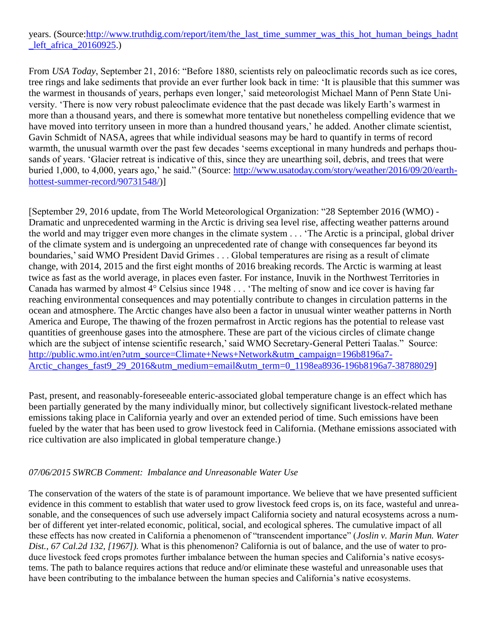# years. (Source[:http://www.truthdig.com/report/item/the\\_last\\_time\\_summer\\_was\\_this\\_hot\\_human\\_beings\\_hadnt](http://www.truthdig.com/report/item/the_last_time_summer_was_this_hot_human_beings_hadnt_left_africa_20160925) left africa 20160925.)

From *USA Today*, September 21, 2016: "Before 1880, scientists rely on paleoclimatic records such as ice cores, tree rings and lake sediments that provide an ever further look back in time: 'It is plausible that this summer was the warmest in thousands of years, perhaps even longer,' said meteorologist Michael Mann of Penn State University. 'There is now very robust paleoclimate evidence that the past decade was likely Earth's warmest in more than a thousand years, and there is somewhat more tentative but nonetheless compelling evidence that we have moved into territory unseen in more than a hundred thousand years,' he added. Another climate scientist, Gavin Schmidt of NASA, agrees that while individual seasons may be hard to quantify in terms of record warmth, the unusual warmth over the past few decades 'seems exceptional in many hundreds and perhaps thousands of years. 'Glacier retreat is indicative of this, since they are unearthing soil, debris, and trees that were buried 1,000, to 4,000, years ago,' he said." (Source: [http://www.usatoday.com/story/weather/2016/09/20/earth](http://www.usatoday.com/story/weather/2016/09/20/earth-hottest-summer-record/90731548/)[hottest-summer-record/90731548/\)](http://www.usatoday.com/story/weather/2016/09/20/earth-hottest-summer-record/90731548/)]

[September 29, 2016 update, from The World Meteorological Organization: "28 September 2016 (WMO) - Dramatic and unprecedented warming in the Arctic is driving sea level rise, affecting weather patterns around the world and may trigger even more changes in the climate system . . . 'The Arctic is a principal, global driver of the climate system and is undergoing an unprecedented rate of change with consequences far beyond its boundaries,' said WMO President David Grimes . . . Global temperatures are rising as a result of climate change, with 2014, 2015 and the first eight months of 2016 breaking records. The Arctic is warming at least twice as fast as the world average, in places even faster. For instance, Inuvik in the Northwest Territories in Canada has warmed by almost 4° Celsius since 1948 . . . 'The melting of snow and ice cover is having far reaching environmental consequences and may potentially contribute to changes in circulation patterns in the ocean and atmosphere. The Arctic changes have also been a factor in unusual winter weather patterns in North America and Europe, The thawing of the frozen permafrost in Arctic regions has the potential to release vast quantities of greenhouse gases into the atmosphere. These are part of the vicious circles of climate change which are the subject of intense scientific research,' said WMO Secretary-General Petteri Taalas." Source: [http://public.wmo.int/en?utm\\_source=Climate+News+Network&utm\\_campaign=196b8196a7-](http://public.wmo.int/en?utm_source=Climate+News+Network&utm_campaign=196b8196a7-Arctic_changes_fast9_29_2016&utm_medium=email&utm_term=0_1198ea8936-196b8196a7-38788029) [Arctic\\_changes\\_fast9\\_29\\_2016&utm\\_medium=email&utm\\_term=0\\_1198ea8936-196b8196a7-38788029\]](http://public.wmo.int/en?utm_source=Climate+News+Network&utm_campaign=196b8196a7-Arctic_changes_fast9_29_2016&utm_medium=email&utm_term=0_1198ea8936-196b8196a7-38788029)

Past, present, and reasonably-foreseeable enteric-associated global temperature change is an effect which has been partially generated by the many individually minor, but collectively significant livestock-related methane emissions taking place in California yearly and over an extended period of time. Such emissions have been fueled by the water that has been used to grow livestock feed in California. (Methane emissions associated with rice cultivation are also implicated in global temperature change.)

#### *07/06/2015 SWRCB Comment: Imbalance and Unreasonable Water Use*

The conservation of the waters of the state is of paramount importance. We believe that we have presented sufficient evidence in this comment to establish that water used to grow livestock feed crops is, on its face, wasteful and unreasonable, and the consequences of such use adversely impact California society and natural ecosystems across a number of different yet inter-related economic, political, social, and ecological spheres. The cumulative impact of all these effects has now created in California a phenomenon of "transcendent importance" (*Joslin v. Marin Mun. Water Dist., 67 Cal.2d 132, [1967]).* What is this phenomenon? California is out of balance, and the use of water to produce livestock feed crops promotes further imbalance between the human species and California's native ecosystems. The path to balance requires actions that reduce and/or eliminate these wasteful and unreasonable uses that have been contributing to the imbalance between the human species and California's native ecosystems.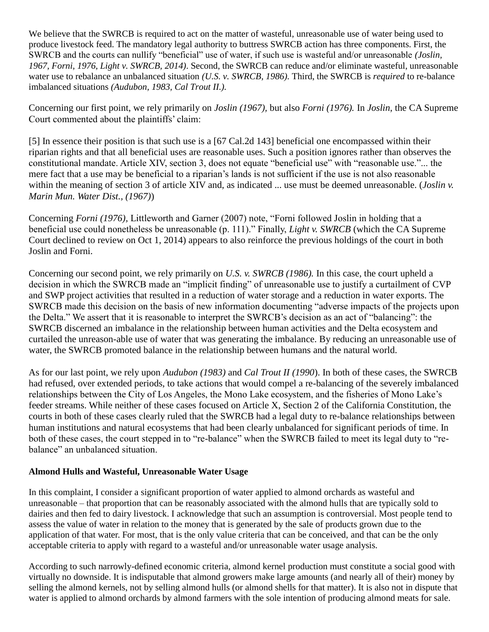We believe that the SWRCB is required to act on the matter of wasteful, unreasonable use of water being used to produce livestock feed. The mandatory legal authority to buttress SWRCB action has three components. First, the SWRCB and the courts can nullify "beneficial" use of water, if such use is wasteful and/or unreasonable *(Joslin, 1967, Forni, 1976, Light v. SWRCB, 2014)*. Second, the SWRCB can reduce and/or eliminate wasteful, unreasonable water use to rebalance an unbalanced situation *(U.S. v. SWRCB, 1986).* Third, the SWRCB is *required* to re-balance imbalanced situations *(Audubon, 1983, Cal Trout II.).* 

Concerning our first point, we rely primarily on *Joslin (1967),* but also *Forni (1976).* In *Joslin*, the CA Supreme Court commented about the plaintiffs' claim:

[5] In essence their position is that such use is a [67 Cal.2d 143] beneficial one encompassed within their riparian rights and that all beneficial uses are reasonable uses. Such a position ignores rather than observes the constitutional mandate. Article XIV, section 3, does not equate "beneficial use" with "reasonable use."... the mere fact that a use may be beneficial to a riparian's lands is not sufficient if the use is not also reasonable within the meaning of section 3 of article XIV and, as indicated ... use must be deemed unreasonable. *(Joslin v. Marin Mun. Water Dist., (1967)*)

Concerning *Forni (1976),* Littleworth and Garner (2007) note, "Forni followed Joslin in holding that a beneficial use could nonetheless be unreasonable (p. 111)." Finally, *Light v. SWRCB* (which the CA Supreme Court declined to review on Oct 1, 2014) appears to also reinforce the previous holdings of the court in both Joslin and Forni.

Concerning our second point, we rely primarily on *U.S. v. SWRCB (1986).* In this case, the court upheld a decision in which the SWRCB made an "implicit finding" of unreasonable use to justify a curtailment of CVP and SWP project activities that resulted in a reduction of water storage and a reduction in water exports. The SWRCB made this decision on the basis of new information documenting "adverse impacts of the projects upon the Delta." We assert that it is reasonable to interpret the SWRCB's decision as an act of "balancing": the SWRCB discerned an imbalance in the relationship between human activities and the Delta ecosystem and curtailed the unreason-able use of water that was generating the imbalance. By reducing an unreasonable use of water, the SWRCB promoted balance in the relationship between humans and the natural world.

As for our last point, we rely upon *Audubon (1983)* and *Cal Trout II (1990*). In both of these cases, the SWRCB had refused, over extended periods, to take actions that would compel a re-balancing of the severely imbalanced relationships between the City of Los Angeles, the Mono Lake ecosystem, and the fisheries of Mono Lake's feeder streams. While neither of these cases focused on Article X, Section 2 of the California Constitution, the courts in both of these cases clearly ruled that the SWRCB had a legal duty to re-balance relationships between human institutions and natural ecosystems that had been clearly unbalanced for significant periods of time. In both of these cases, the court stepped in to "re-balance" when the SWRCB failed to meet its legal duty to "rebalance" an unbalanced situation.

# **Almond Hulls and Wasteful, Unreasonable Water Usage**

In this complaint, I consider a significant proportion of water applied to almond orchards as wasteful and unreasonable – that proportion that can be reasonably associated with the almond hulls that are typically sold to dairies and then fed to dairy livestock. I acknowledge that such an assumption is controversial. Most people tend to assess the value of water in relation to the money that is generated by the sale of products grown due to the application of that water. For most, that is the only value criteria that can be conceived, and that can be the only acceptable criteria to apply with regard to a wasteful and/or unreasonable water usage analysis.

According to such narrowly-defined economic criteria, almond kernel production must constitute a social good with virtually no downside. It is indisputable that almond growers make large amounts (and nearly all of their) money by selling the almond kernels, not by selling almond hulls (or almond shells for that matter). It is also not in dispute that water is applied to almond orchards by almond farmers with the sole intention of producing almond meats for sale.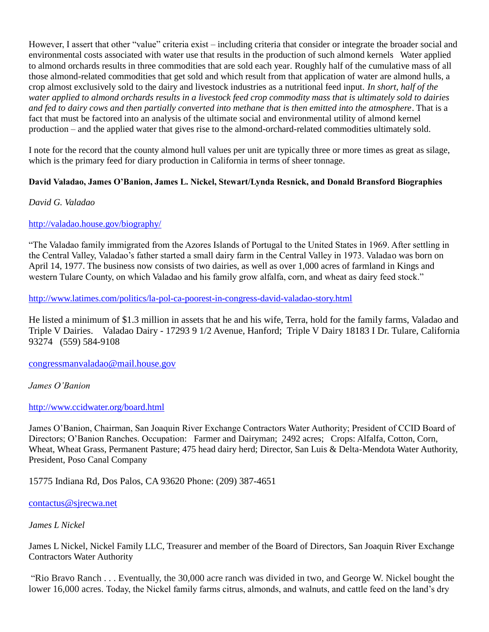However, I assert that other "value" criteria exist – including criteria that consider or integrate the broader social and environmental costs associated with water use that results in the production of such almond kernels Water applied to almond orchards results in three commodities that are sold each year*.* Roughly half of the cumulative mass of all those almond-related commodities that get sold and which result from that application of water are almond hulls, a crop almost exclusively sold to the dairy and livestock industries as a nutritional feed input. *In short, half of the water applied to almond orchards results in a livestock feed crop commodity mass that is ultimately sold to dairies and fed to dairy cows and then partially converted into methane that is then emitted into the atmosphere*. That is a fact that must be factored into an analysis of the ultimate social and environmental utility of almond kernel production – and the applied water that gives rise to the almond-orchard-related commodities ultimately sold.

I note for the record that the county almond hull values per unit are typically three or more times as great as silage, which is the primary feed for diary production in California in terms of sheer tonnage.

# **David Valadao, James O'Banion, James L. Nickel, Stewart/Lynda Resnick, and Donald Bransford Biographies**

### *David G. Valadao*

### <http://valadao.house.gov/biography/>

"The Valadao family immigrated from the Azores Islands of Portugal to the United States in 1969. After settling in the Central Valley, Valadao's father started a small dairy farm in the Central Valley in 1973. Valadao was born on April 14, 1977. The business now consists of two dairies, as well as over 1,000 acres of farmland in Kings and western Tulare County, on which Valadao and his family grow alfalfa, corn, and wheat as dairy feed stock."

<http://www.latimes.com/politics/la-pol-ca-poorest-in-congress-david-valadao-story.html>

He listed a minimum of \$1.3 million in assets that he and his wife, Terra, hold for the family farms, Valadao and Triple V Dairies. Valadao Dairy - 17293 9 1/2 Avenue, Hanford; Triple V Dairy 18183 I Dr. Tulare, California 93274 (559) 584-9108

[congressmanvaladao@mail.house.gov](mailto:congressmanvaladao@mail.house.gov)

*James O'Banion*

<http://www.ccidwater.org/board.html>

James O'Banion, Chairman, San Joaquin River Exchange Contractors Water Authority; President of CCID Board of Directors; O'Banion Ranches. Occupation: Farmer and Dairyman; 2492 acres; Crops: Alfalfa, Cotton, Corn, Wheat, Wheat Grass, Permanent Pasture; 475 head dairy herd; Director, San Luis & Delta-Mendota Water Authority, President, Poso Canal Company

15775 Indiana Rd, Dos Palos, CA 93620 Phone: (209) 387-4651

[contactus@sjrecwa.net](mailto:contactus@sjrecwa.net)

*James L Nickel*

James L Nickel, Nickel Family LLC, Treasurer and member of the Board of Directors, San Joaquin River Exchange Contractors Water Authority

"Rio Bravo Ranch . . . Eventually, the 30,000 acre ranch was divided in two, and George W. Nickel bought the lower 16,000 acres. Today, the Nickel family farms citrus, almonds, and walnuts, and cattle feed on the land's dry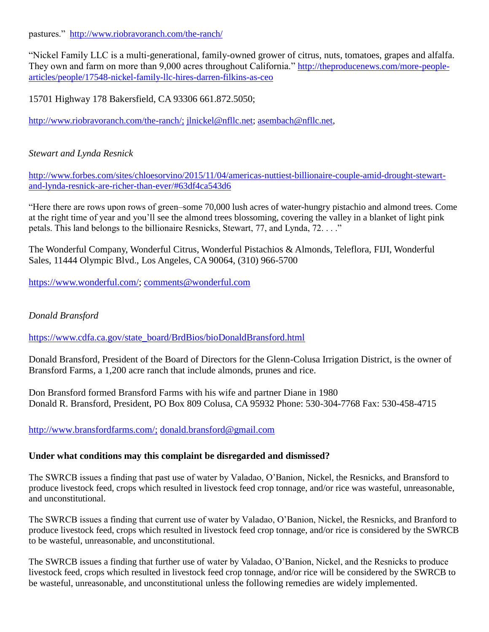pastures." <http://www.riobravoranch.com/the-ranch/>

"Nickel Family LLC is a multi-generational, family-owned grower of citrus, nuts, tomatoes, grapes and alfalfa. They own and farm on more than 9,000 acres throughout California." [http://theproducenews.com/more-people](http://theproducenews.com/more-people-articles/people/17548-nickel-family-llc-hires-darren-filkins-as-ceo)[articles/people/17548-nickel-family-llc-hires-darren-filkins-as-ceo](http://theproducenews.com/more-people-articles/people/17548-nickel-family-llc-hires-darren-filkins-as-ceo)

15701 Highway 178 Bakersfield, CA 93306 661.872.5050;

[http://www.riobravoranch.com/the-ranch/;](http://www.riobravoranch.com/the-ranch/) [jlnickel@nfllc.net;](mailto:jlnickel@nfllc.net) [asembach@nfllc.net,](mailto:asembach@nfllc.net)

### *Stewart and Lynda Resnick*

[http://www.forbes.com/sites/chloesorvino/2015/11/04/americas-nuttiest-billionaire-couple-amid-drought-stewart](http://www.forbes.com/sites/chloesorvino/2015/11/04/americas-nuttiest-billionaire-couple-amid-drought-stewart-and-lynda-resnick-are-richer-than-ever/#63df4ca543d6)[and-lynda-resnick-are-richer-than-ever/#63df4ca543d6](http://www.forbes.com/sites/chloesorvino/2015/11/04/americas-nuttiest-billionaire-couple-amid-drought-stewart-and-lynda-resnick-are-richer-than-ever/#63df4ca543d6) 

"Here there are rows upon rows of green–some 70,000 lush acres of water-hungry pistachio and almond trees. Come at the right time of year and you'll see the almond trees blossoming, covering the valley in a blanket of light pink petals. This land belongs to the billionaire Resnicks, Stewart, 77, and Lynda, 72. . . ."

The Wonderful Company, Wonderful Citrus, Wonderful Pistachios & Almonds, Teleflora, FIJI, Wonderful Sales, 11444 Olympic Blvd., Los Angeles, CA 90064, (310) 966-5700

[https://www.wonderful.com/;](https://www.wonderful.com/) [comments@wonderful.com](mailto:comments@wonderful.com)

### *Donald Bransford*

[https://www.cdfa.ca.gov/state\\_board/BrdBios/bioDonaldBransford.html](https://www.cdfa.ca.gov/state_board/BrdBios/bioDonaldBransford.html)

Donald Bransford, President of the Board of Directors for the Glenn-Colusa Irrigation District, is the owner of Bransford Farms, a 1,200 acre ranch that include almonds, prunes and rice.

Don Bransford formed Bransford Farms with his wife and partner Diane in 1980 Donald R. Bransford, President, PO Box 809 Colusa, CA 95932 Phone: 530-304-7768 Fax: 530-458-4715

[http://www.bransfordfarms.com/;](http://www.bransfordfarms.com/) donald.bransford@gmail.com

#### **Under what conditions may this complaint be disregarded and dismissed?**

The SWRCB issues a finding that past use of water by Valadao, O'Banion, Nickel, the Resnicks, and Bransford to produce livestock feed, crops which resulted in livestock feed crop tonnage, and/or rice was wasteful, unreasonable, and unconstitutional.

The SWRCB issues a finding that current use of water by Valadao, O'Banion, Nickel, the Resnicks, and Branford to produce livestock feed, crops which resulted in livestock feed crop tonnage, and/or rice is considered by the SWRCB to be wasteful, unreasonable, and unconstitutional.

The SWRCB issues a finding that further use of water by Valadao, O'Banion, Nickel, and the Resnicks to produce livestock feed, crops which resulted in livestock feed crop tonnage, and/or rice will be considered by the SWRCB to be wasteful, unreasonable, and unconstitutional unless the following remedies are widely implemented.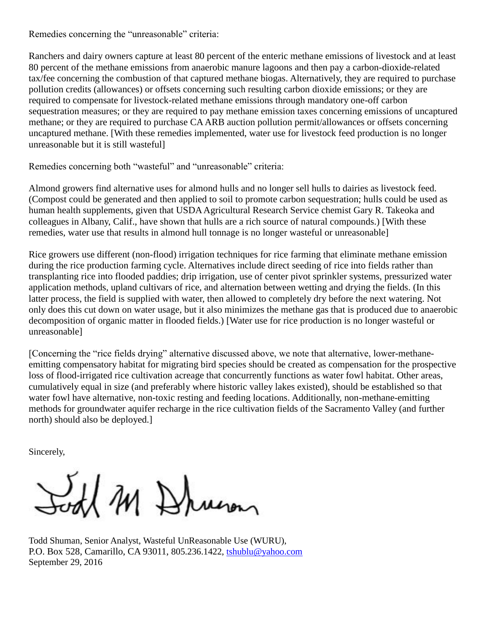Remedies concerning the "unreasonable" criteria:

Ranchers and dairy owners capture at least 80 percent of the enteric methane emissions of livestock and at least 80 percent of the methane emissions from anaerobic manure lagoons and then pay a carbon-dioxide-related tax/fee concerning the combustion of that captured methane biogas. Alternatively, they are required to purchase pollution credits (allowances) or offsets concerning such resulting carbon dioxide emissions; or they are required to compensate for livestock-related methane emissions through mandatory one-off carbon sequestration measures; or they are required to pay methane emission taxes concerning emissions of uncaptured methane; or they are required to purchase CA ARB auction pollution permit/allowances or offsets concerning uncaptured methane. [With these remedies implemented, water use for livestock feed production is no longer unreasonable but it is still wasteful]

Remedies concerning both "wasteful" and "unreasonable" criteria:

Almond growers find alternative uses for almond hulls and no longer sell hulls to dairies as livestock feed. (Compost could be generated and then applied to soil to promote carbon sequestration; hulls could be used as human health supplements, given that USDA Agricultural Research Service chemist Gary R. Takeoka and colleagues in Albany, Calif., have shown that hulls are a rich source of natural compounds.) [With these remedies, water use that results in almond hull tonnage is no longer wasteful or unreasonable]

Rice growers use different (non-flood) irrigation techniques for rice farming that eliminate methane emission during the rice production farming cycle. Alternatives include direct seeding of rice into fields rather than transplanting rice into flooded paddies; drip irrigation, use of center pivot sprinkler systems, pressurized water application methods, upland cultivars of rice, and alternation between wetting and drying the fields. (In this latter process, the field is supplied with water, then allowed to completely dry before the next watering. Not only does this cut down on water usage, but it also minimizes the methane gas that is produced due to anaerobic decomposition of organic matter in flooded fields.) [Water use for rice production is no longer wasteful or unreasonable]

[Concerning the "rice fields drying" alternative discussed above, we note that alternative, lower-methaneemitting compensatory habitat for migrating bird species should be created as compensation for the prospective loss of flood-irrigated rice cultivation acreage that concurrently functions as water fowl habitat. Other areas, cumulatively equal in size (and preferably where historic valley lakes existed), should be established so that water fowl have alternative, non-toxic resting and feeding locations. Additionally, non-methane-emitting methods for groundwater aquifer recharge in the rice cultivation fields of the Sacramento Valley (and further north) should also be deployed.]

Sincerely,

Sort M Drum

Todd Shuman, Senior Analyst, Wasteful UnReasonable Use (WURU), P.O. Box 528, Camarillo, CA 93011, 805.236.1422, [tshublu@yahoo.com](mailto:tshublu@yahoo.com) September 29, 2016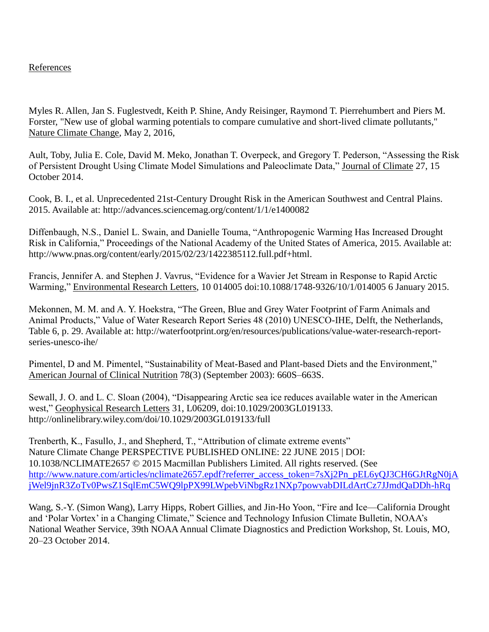# References

Myles R. Allen, Jan S. Fuglestvedt, Keith P. Shine, Andy Reisinger, Raymond T. Pierrehumbert and Piers M. Forster, "New use of global warming potentials to compare cumulative and short-lived climate pollutants," Nature Climate Change, May 2, 2016,

Ault, Toby, Julia E. Cole, David M. Meko, Jonathan T. Overpeck, and Gregory T. Pederson, "Assessing the Risk of Persistent Drought Using Climate Model Simulations and Paleoclimate Data," Journal of Climate 27, 15 October 2014.

Cook, B. I., et al. Unprecedented 21st-Century Drought Risk in the American Southwest and Central Plains. 2015. Available at: http://advances.sciencemag.org/content/1/1/e1400082

Diffenbaugh, N.S., Daniel L. Swain, and Danielle Touma, "Anthropogenic Warming Has Increased Drought Risk in California," Proceedings of the National Academy of the United States of America, 2015. Available at: http://www.pnas.org/content/early/2015/02/23/1422385112.full.pdf+html.

Francis, Jennifer A. and Stephen J. Vavrus, "Evidence for a Wavier Jet Stream in Response to Rapid Arctic Warming," Environmental Research Letters, 10 014005 doi:10.1088/1748-9326/10/1/014005 6 January 2015.

Mekonnen, M. M. and A. Y. Hoekstra, "The Green, Blue and Grey Water Footprint of Farm Animals and Animal Products," Value of Water Research Report Series 48 (2010) UNESCO-IHE, Delft, the Netherlands, Table 6, p. 29. Available at: http://waterfootprint.org/en/resources/publications/value-water-research-reportseries-unesco-ihe/

Pimentel, D and M. Pimentel, "Sustainability of Meat-Based and Plant-based Diets and the Environment," American Journal of Clinical Nutrition 78(3) (September 2003): 660S–663S.

Sewall, J. O. and L. C. Sloan (2004), "Disappearing Arctic sea ice reduces available water in the American west," Geophysical Research Letters 31, L06209, doi:10.1029/2003GL019133. http://onlinelibrary.wiley.com/doi/10.1029/2003GL019133/full

Trenberth, K., Fasullo, J., and Shepherd, T., "Attribution of climate extreme events" Nature Climate Change PERSPECTIVE PUBLISHED ONLINE: 22 JUNE 2015 | DOI: 10.1038/NCLIMATE2657 © 2015 Macmillan Publishers Limited. All rights reserved. (See [http://www.nature.com/articles/nclimate2657.epdf?referrer\\_access\\_token=7sXj2Pn\\_pEL6yQJ3CH6GJtRgN0jA](http://www.nature.com/articles/nclimate2657.epdf?referrer_access_token=7sXj2Pn_pEL6yQJ3CH6GJtRgN0jAjWel9jnR3ZoTv0PwsZ1SqlEmC5WQ9lpPX99LWpebViNbgRz1NXp7powvabDILdArtCz7JJmdQaDDh-hRq) [jWel9jnR3ZoTv0PwsZ1SqlEmC5WQ9lpPX99LWpebViNbgRz1NXp7powvabDILdArtCz7JJmdQaDDh-hRq](http://www.nature.com/articles/nclimate2657.epdf?referrer_access_token=7sXj2Pn_pEL6yQJ3CH6GJtRgN0jAjWel9jnR3ZoTv0PwsZ1SqlEmC5WQ9lpPX99LWpebViNbgRz1NXp7powvabDILdArtCz7JJmdQaDDh-hRq)

Wang, S.-Y. (Simon Wang), Larry Hipps, Robert Gillies, and Jin-Ho Yoon, "Fire and Ice—California Drought and 'Polar Vortex' in a Changing Climate," Science and Technology Infusion Climate Bulletin, NOAA's National Weather Service, 39th NOAA Annual Climate Diagnostics and Prediction Workshop, St. Louis, MO, 20–23 October 2014.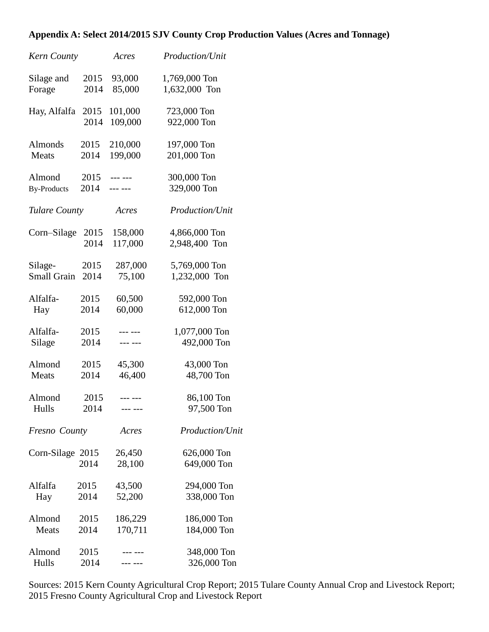# **Appendix A: Select 2014/2015 SJV County Crop Production Values (Acres and Tonnage)**

| Kern County          |      | Acres            | Production/Unit            |
|----------------------|------|------------------|----------------------------|
| Silage and           | 2015 | 93,000           | 1,769,000 Ton              |
| Forage               | 2014 | 85,000           | 1,632,000 Ton              |
| Hay, Alfalfa         | 2015 | 101,000          | 723,000 Ton                |
|                      | 2014 | 109,000          | 922,000 Ton                |
| Almonds              | 2015 | 210,000          | 197,000 Ton                |
| Meats                | 2014 | 199,000          | 201,000 Ton                |
| Almond               | 2015 | $--- - - - -$    | 300,000 Ton                |
| <b>By-Products</b>   | 2014 | --- ---          | 329,000 Ton                |
| <b>Tulare County</b> |      | Acres            | Production/Unit            |
| Corn-Silage          | 2015 | 158,000          | 4,866,000 Ton              |
|                      | 2014 | 117,000          | 2,948,400 Ton              |
| Silage-              | 2015 | 287,000          | 5,769,000 Ton              |
| <b>Small Grain</b>   | 2014 | 75,100           | 1,232,000 Ton              |
| Alfalfa-             | 2015 | 60,500           | 592,000 Ton                |
| Hay                  | 2014 | 60,000           | 612,000 Ton                |
| Alfalfa-             | 2015 | --- ---          | 1,077,000 Ton              |
| Silage               | 2014 | --- ---          | 492,000 Ton                |
| Almond               | 2015 | 45,300           | 43,000 Ton                 |
| Meats                | 2014 | 46,400           | 48,700 Ton                 |
| Almond               | 2015 | --- ---          | 86,100 Ton                 |
| Hulls                | 2014 |                  | 97,500 Ton                 |
| Fresno County        |      | Acres            | Production/Unit            |
| Corn-Silage 2015     | 2014 | 26,450<br>28,100 | 626,000 Ton<br>649,000 Ton |
| Alfalfa              | 2015 | 43,500           | 294,000 Ton                |
| Hay                  | 2014 | 52,200           | 338,000 Ton                |
| Almond               | 2015 | 186,229          | 186,000 Ton                |
| Meats                | 2014 | 170,711          | 184,000 Ton                |
| Almond               | 2015 |                  | 348,000 Ton                |
| Hulls                | 2014 |                  | 326,000 Ton                |

Sources: 2015 Kern County Agricultural Crop Report; 2015 Tulare County Annual Crop and Livestock Report; 2015 Fresno County Agricultural Crop and Livestock Report